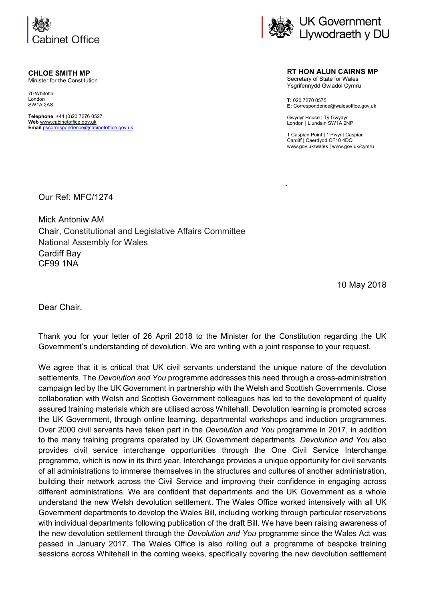

**CHLOE SMITH MP** Minister for the Constitution

70 Whitehall London

SW1A 2AS **Telephone** +44 (0)20 7276 0527 **Web** [www.cabinetoffice.gov.uk](http://www.cabinetoffice.gov.uk/)

**Email** [pscorrespondence@cabinetoffice.gov.uk](mailto:pscorrespondence@cabinetoffice.gov.uk)



**RT HON ALUN CAIRNS MP** Secretary of State for Wales Ysgrifennydd Gwladol Cymru

**T:** 020 7270 0575 **E:** Correspondence@walesoffice.gov.uk

Gwydyr House | Tŷ Gwydyr London | Llundain SW1A 2NP

1 Caspian Point | 1 Pwynt Caspian Cardiff | Caerdydd CF10 4DQ www.gov.uk/wales | www.gov.uk/cymru

Our Ref: MFC/1274

Mick Antoniw AM Chair, Constitutional and Legislative Affairs Committee National Assembly for Wales Cardiff Bay CF99 1NA

10 May 2018

Dear Chair,

Thank you for your letter of 26 April 2018 to the Minister for the Constitution regarding the UK Government's understanding of devolution. We are writing with a joint response to your request.

We agree that it is critical that UK civil servants understand the unique nature of the devolution settlements. The *Devolution and You* programme addresses this need through a cross-administration campaign led by the UK Government in partnership with the Welsh and Scottish Governments. Close collaboration with Welsh and Scottish Government colleagues has led to the development of quality assured training materials which are utilised across Whitehall. Devolution learning is promoted across the UK Government, through online learning, departmental workshops and induction programmes. Over 2000 civil servants have taken part in the *Devolution and You* programme in 2017, in addition to the many training programs operated by UK Government departments. *Devolution and You* also provides civil service interchange opportunities through the One Civil Service Interchange programme, which is now in its third year. Interchange provides a unique opportunity for civil servants of all administrations to immerse themselves in the structures and cultures of another administration, building their network across the Civil Service and improving their confidence in engaging across different administrations. We are confident that departments and the UK Government as a whole understand the new Welsh devolution settlement. The Wales Office worked intensively with all UK Government departments to develop the Wales Bill, including working through particular reservations with individual departments following publication of the draft Bill. We have been raising awareness of the new devolution settlement through the *Devolution and You* programme since the Wales Act was passed in January 2017. The Wales Office is also rolling out a programme of bespoke training sessions across Whitehall in the coming weeks, specifically covering the new devolution settlement